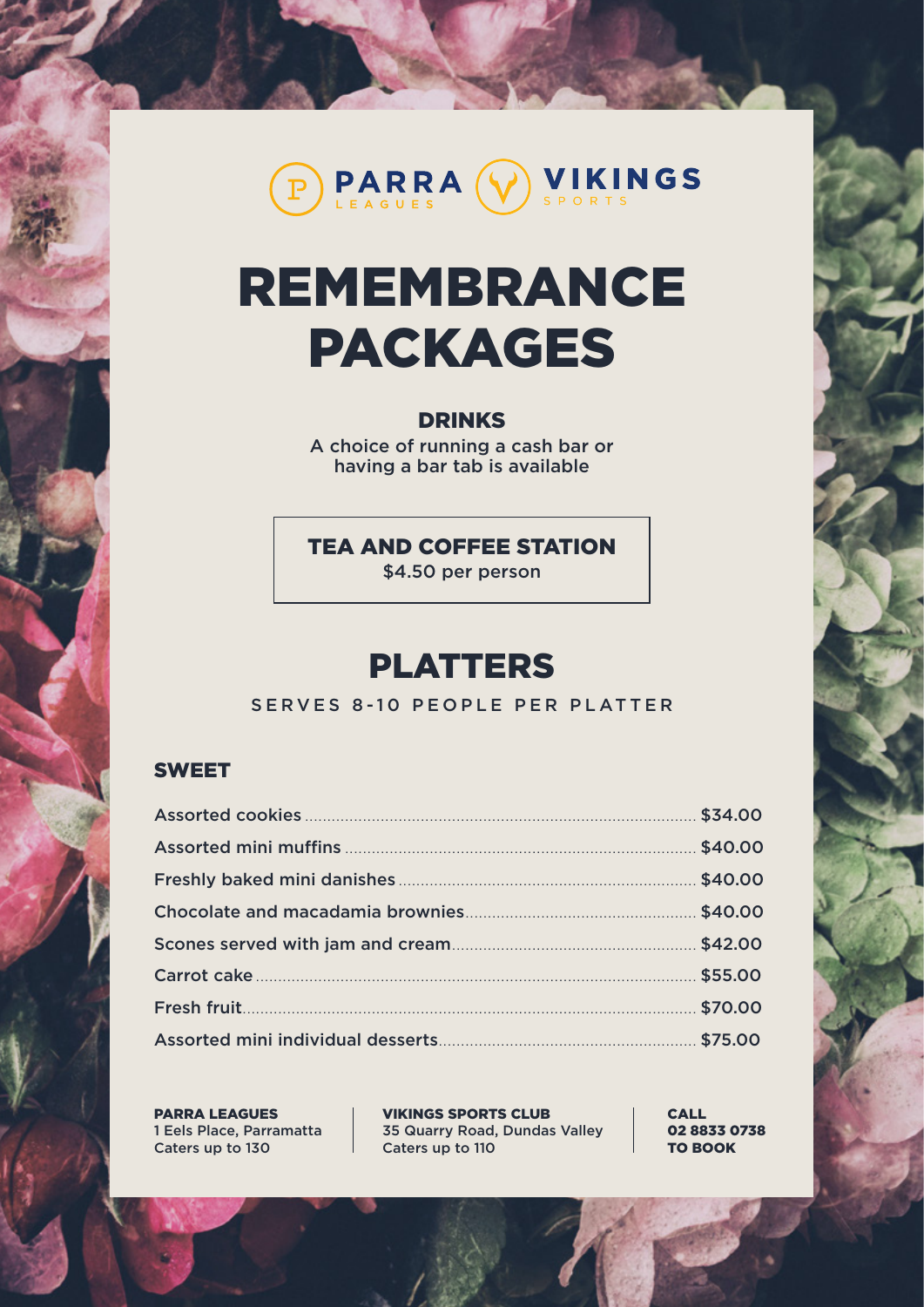

# REMEMBRANCE PACKAGES

#### DRINKS

A choice of running a cash bar or having a bar tab is available

TEA AND COFFEE STATION

\$4.50 per person

# PLATTERS

SERVES 8-10 PEOPLE PER PLATTER

#### SWEET

PARRA LEAGUES 1 Eels Place, Parramatta Caters up to 130

VIKINGS SPORTS CLUB 35 Quarry Road, Dundas Valley Caters up to 110

CALL 02 8833 0738 TO BOOK